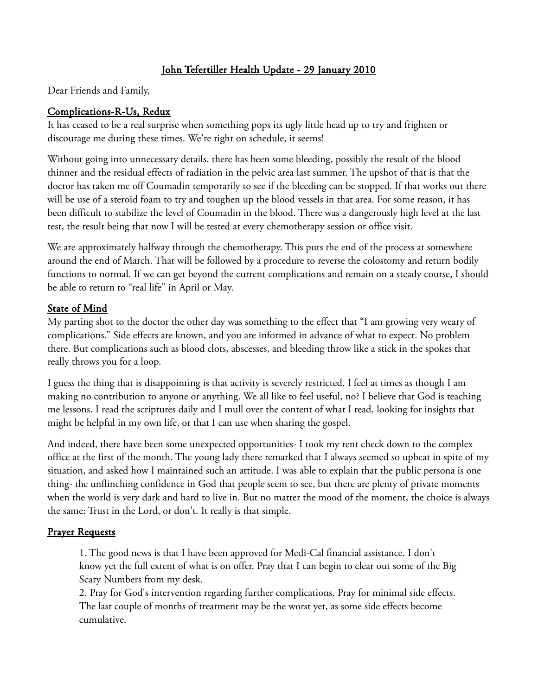# John Tefertiller Health Update - 29 January 2010

Dear Friends and Family,

# Complications-R-Us, Redux

It has ceased to be a real surprise when something pops its ugly little head up to try and frighten or discourage me during these times. We're right on schedule, it seems!

Without going into unnecessary details, there has been some bleeding, possibly the result of the blood thinner and the residual effects of radiation in the pelvic area last summer. The upshot of that is that the doctor has taken me off Coumadin temporarily to see if the bleeding can be stopped. If that works out there will be use of a steroid foam to try and toughen up the blood vessels in that area. For some reason, it has been difficult to stabilize the level of Coumadin in the blood. There was a dangerously high level at the last test, the result being that now I will be tested at every chemotherapy session or office visit.

We are approximately halfway through the chemotherapy. This puts the end of the process at somewhere around the end of March. That will be followed by a procedure to reverse the colostomy and return bodily functions to normal. If we can get beyond the current complications and remain on a steady course, I should be able to return to "real life" in April or May.

### State of Mind

My parting shot to the doctor the other day was something to the effect that "I am growing very weary of complications." Side effects are known, and you are informed in advance of what to expect. No problem there. But complications such as blood clots, abscesses, and bleeding throw like a stick in the spokes that really throws you for a loop.

I guess the thing that is disappointing is that activity is severely restricted. I feel at times as though I am making no contribution to anyone or anything. We all like to feel useful, no? I believe that God is teaching me lessons. I read the scriptures daily and I mull over the content of what I read, looking for insights that might be helpful in my own life, or that I can use when sharing the gospel.

And indeed, there have been some unexpected opportunities- I took my rent check down to the complex office at the first of the month. The young lady there remarked that I always seemed so upbeat in spite of my situation, and asked how I maintained such an attitude. I was able to explain that the public persona is one thing- the unflinching confidence in God that people seem to see, but there are plenty of private moments when the world is very dark and hard to live in. But no matter the mood of the moment, the choice is always the same: Trust in the Lord, or don't. It really is that simple.

#### Prayer Requests

1. The good news is that I have been approved for Medi-Cal financial assistance. I don't know yet the full extent of what is on offer. Pray that I can begin to clear out some of the Big Scary Numbers from my desk.

2. Pray for God's intervention regarding further complications. Pray for minimal side effects. The last couple of months of treatment may be the worst yet, as some side effects become cumulative.